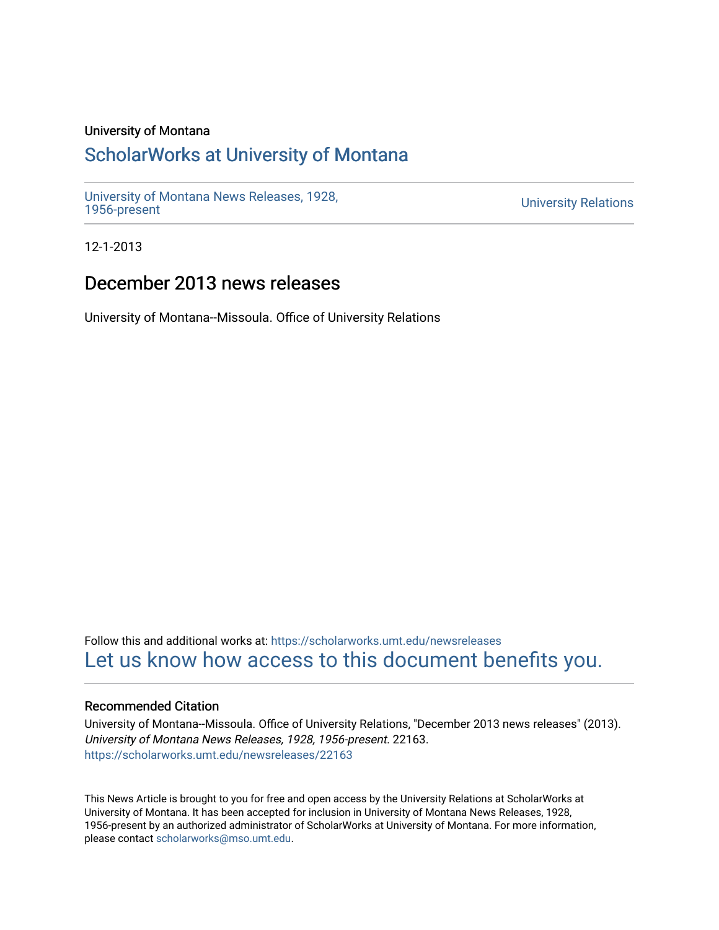## University of Montana

## [ScholarWorks at University of Montana](https://scholarworks.umt.edu/)

[University of Montana News Releases, 1928,](https://scholarworks.umt.edu/newsreleases) 

**University Relations** 

12-1-2013

## December 2013 news releases

University of Montana--Missoula. Office of University Relations

Follow this and additional works at: [https://scholarworks.umt.edu/newsreleases](https://scholarworks.umt.edu/newsreleases?utm_source=scholarworks.umt.edu%2Fnewsreleases%2F22163&utm_medium=PDF&utm_campaign=PDFCoverPages) [Let us know how access to this document benefits you.](https://goo.gl/forms/s2rGfXOLzz71qgsB2) 

## Recommended Citation

University of Montana--Missoula. Office of University Relations, "December 2013 news releases" (2013). University of Montana News Releases, 1928, 1956-present. 22163. [https://scholarworks.umt.edu/newsreleases/22163](https://scholarworks.umt.edu/newsreleases/22163?utm_source=scholarworks.umt.edu%2Fnewsreleases%2F22163&utm_medium=PDF&utm_campaign=PDFCoverPages) 

This News Article is brought to you for free and open access by the University Relations at ScholarWorks at University of Montana. It has been accepted for inclusion in University of Montana News Releases, 1928, 1956-present by an authorized administrator of ScholarWorks at University of Montana. For more information, please contact [scholarworks@mso.umt.edu.](mailto:scholarworks@mso.umt.edu)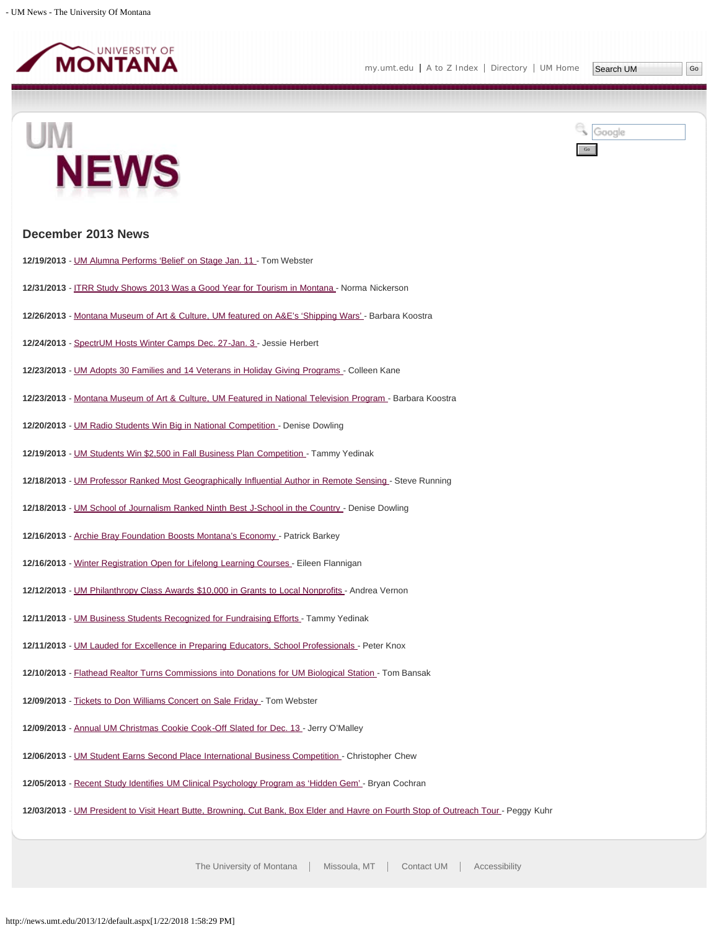

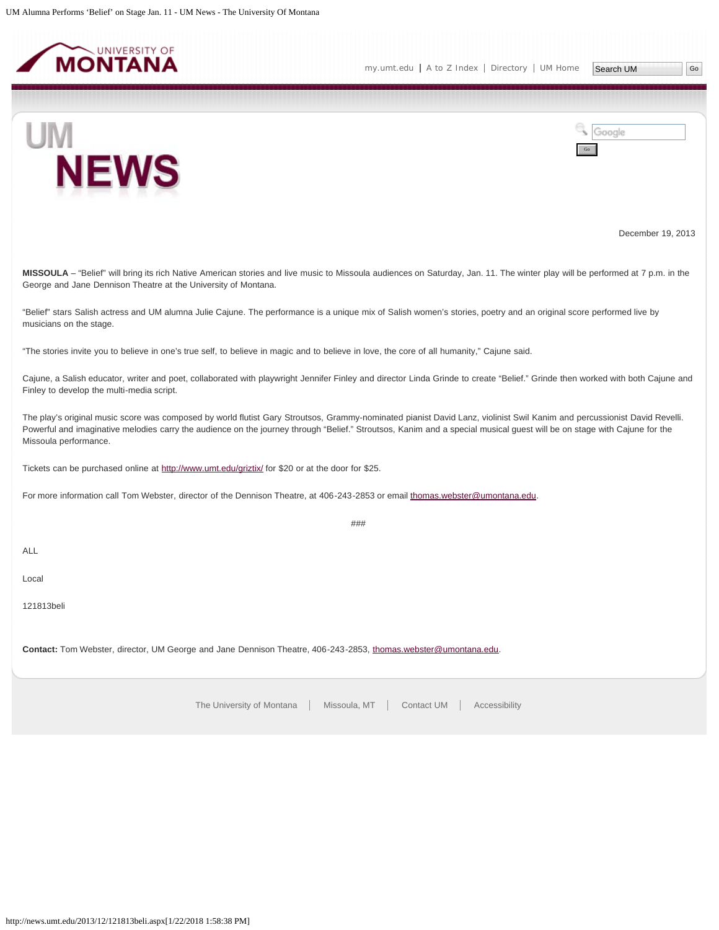<span id="page-3-0"></span>

UM



December 19, 2013

**MISSOULA** – "Belief" will bring its rich Native American stories and live music to Missoula audiences on Saturday, Jan. 11. The winter play will be performed at 7 p.m. in the George and Jane Dennison Theatre at the University of Montana.

"Belief" stars Salish actress and UM alumna Julie Cajune. The performance is a unique mix of Salish women's stories, poetry and an original score performed live by musicians on the stage.

"The stories invite you to believe in one's true self, to believe in magic and to believe in love, the core of all humanity," Cajune said.

Cajune, a Salish educator, writer and poet, collaborated with playwright Jennifer Finley and director Linda Grinde to create "Belief." Grinde then worked with both Cajune and Finley to develop the multi-media script.

The play's original music score was composed by world flutist Gary Stroutsos, Grammy-nominated pianist David Lanz, violinist Swil Kanim and percussionist David Revelli. Powerful and imaginative melodies carry the audience on the journey through "Belief." Stroutsos, Kanim and a special musical guest will be on stage with Cajune for the Missoula performance.

Tickets can be purchased online at <http://www.umt.edu/griztix/>for \$20 or at the door for \$25.

For more information call Tom Webster, director of the Dennison Theatre, at 406-243-2853 or email [thomas.webster@umontana.edu.](mailto:thomas.webster@umontana.edu)

###

ALL

Local

121813beli

**Contact:** Tom Webster, director, UM George and Jane Dennison Theatre, 406-243-2853, [thomas.webster@umontana.edu.](mailto:thomas.webster@umontana.edu)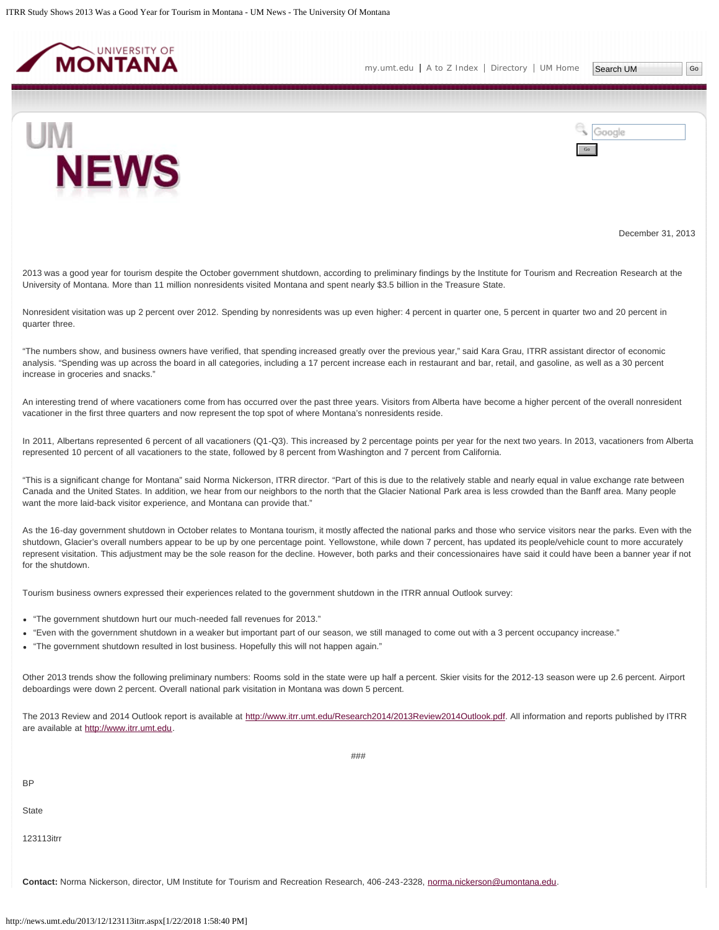<span id="page-4-0"></span>



December 31, 2013

2013 was a good year for tourism despite the October government shutdown, according to preliminary findings by the Institute for Tourism and Recreation Research at the University of Montana. More than 11 million nonresidents visited Montana and spent nearly \$3.5 billion in the Treasure State.

Nonresident visitation was up 2 percent over 2012. Spending by nonresidents was up even higher: 4 percent in quarter one, 5 percent in quarter two and 20 percent in quarter three.

"The numbers show, and business owners have verified, that spending increased greatly over the previous year," said Kara Grau, ITRR assistant director of economic analysis. "Spending was up across the board in all categories, including a 17 percent increase each in restaurant and bar, retail, and gasoline, as well as a 30 percent increase in groceries and snacks."

An interesting trend of where vacationers come from has occurred over the past three years. Visitors from Alberta have become a higher percent of the overall nonresident vacationer in the first three quarters and now represent the top spot of where Montana's nonresidents reside.

In 2011, Albertans represented 6 percent of all vacationers (Q1-Q3). This increased by 2 percentage points per year for the next two years. In 2013, vacationers from Alberta represented 10 percent of all vacationers to the state, followed by 8 percent from Washington and 7 percent from California.

"This is a significant change for Montana" said Norma Nickerson, ITRR director. "Part of this is due to the relatively stable and nearly equal in value exchange rate between Canada and the United States. In addition, we hear from our neighbors to the north that the Glacier National Park area is less crowded than the Banff area. Many people want the more laid-back visitor experience, and Montana can provide that."

As the 16-day government shutdown in October relates to Montana tourism, it mostly affected the national parks and those who service visitors near the parks. Even with the shutdown, Glacier's overall numbers appear to be up by one percentage point. Yellowstone, while down 7 percent, has updated its people/vehicle count to more accurately represent visitation. This adjustment may be the sole reason for the decline. However, both parks and their concessionaires have said it could have been a banner year if not for the shutdown.

Tourism business owners expressed their experiences related to the government shutdown in the ITRR annual Outlook survey:

- "The government shutdown hurt our much-needed fall revenues for 2013."
- "Even with the government shutdown in a weaker but important part of our season, we still managed to come out with a 3 percent occupancy increase."
- "The government shutdown resulted in lost business. Hopefully this will not happen again."

Other 2013 trends show the following preliminary numbers: Rooms sold in the state were up half a percent. Skier visits for the 2012-13 season were up 2.6 percent. Airport deboardings were down 2 percent. Overall national park visitation in Montana was down 5 percent.

The 2013 Review and 2014 Outlook report is available at<http://www.itrr.umt.edu/Research2014/2013Review2014Outlook.pdf>. All information and reports published by ITRR are available at [http://www.itrr.umt.edu.](http://www.itrr.umt.edu/)

|            | ### |
|------------|-----|
| <b>BP</b>  |     |
| State      |     |
| 123113itrr |     |
|            |     |

**Contact:** Norma Nickerson, director, UM Institute for Tourism and Recreation Research, 406-243-2328, [norma.nickerson@umontana.edu](mailto:norma.nickerson@umontana.edu).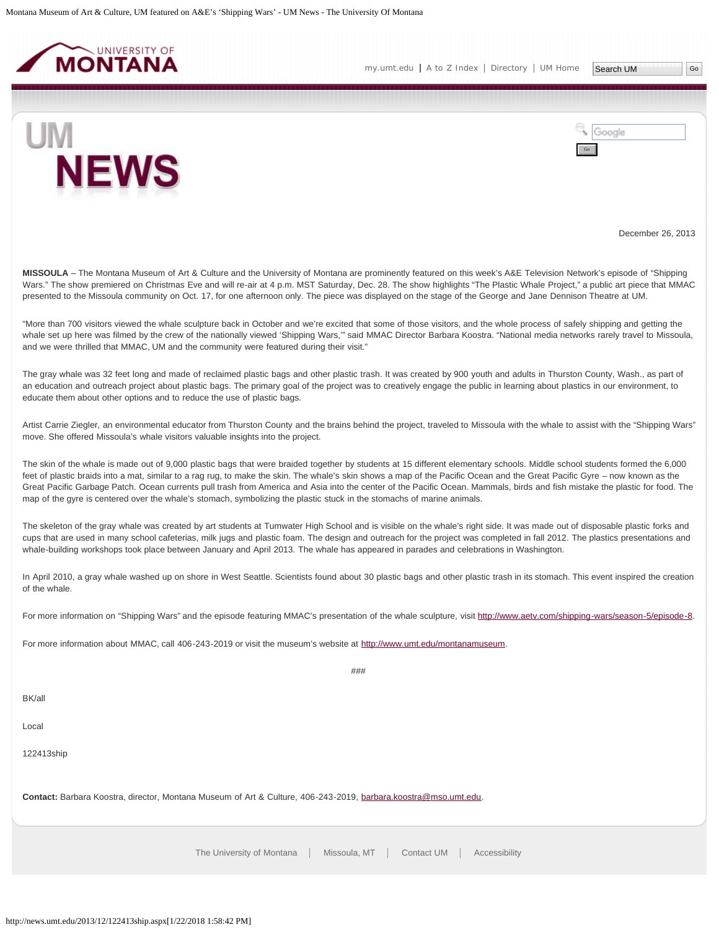<span id="page-6-0"></span>

[my.umt.edu](http://my.umt.edu/) | [A to Z Index](http://www.umt.edu/search/atoz/) | [Directory](http://www.umt.edu/directory/) | [UM Home](http://www.umt.edu/)



Google Go

December 26, 2013

**MISSOULA** – The Montana Museum of Art & Culture and the University of Montana are prominently featured on this week's A&E Television Network's episode of "Shipping Wars." The show premiered on Christmas Eve and will re-air at 4 p.m. MST Saturday, Dec. 28. The show highlights "The Plastic Whale Project," a public art piece that MMAC presented to the Missoula community on Oct. 17, for one afternoon only. The piece was displayed on the stage of the George and Jane Dennison Theatre at UM.

"More than 700 visitors viewed the whale sculpture back in October and we're excited that some of those visitors, and the whole process of safely shipping and getting the whale set up here was filmed by the crew of the nationally viewed 'Shipping Wars,'" said MMAC Director Barbara Koostra. "National media networks rarely travel to Missoula, and we were thrilled that MMAC, UM and the community were featured during their visit."

The gray whale was 32 feet long and made of reclaimed plastic bags and other plastic trash. It was created by 900 youth and adults in Thurston County, Wash., as part of an education and outreach project about plastic bags. The primary goal of the project was to creatively engage the public in learning about plastics in our environment, to educate them about other options and to reduce the use of plastic bags.

Artist Carrie Ziegler, an environmental educator from Thurston County and the brains behind the project, traveled to Missoula with the whale to assist with the "Shipping Wars" move. She offered Missoula's whale visitors valuable insights into the project.

The skin of the whale is made out of 9,000 plastic bags that were braided together by students at 15 different elementary schools. Middle school students formed the 6,000 feet of plastic braids into a mat, similar to a rag rug, to make the skin. The whale's skin shows a map of the Pacific Ocean and the Great Pacific Gyre – now known as the Great Pacific Garbage Patch. Ocean currents pull trash from America and Asia into the center of the Pacific Ocean. Mammals, birds and fish mistake the plastic for food. The map of the gyre is centered over the whale's stomach, symbolizing the plastic stuck in the stomachs of marine animals.

The skeleton of the gray whale was created by art students at Tumwater High School and is visible on the whale's right side. It was made out of disposable plastic forks and cups that are used in many school cafeterias, milk jugs and plastic foam. The design and outreach for the project was completed in fall 2012. The plastics presentations and whale-building workshops took place between January and April 2013. The whale has appeared in parades and celebrations in Washington.

In April 2010, a gray whale washed up on shore in West Seattle. Scientists found about 30 plastic bags and other plastic trash in its stomach. This event inspired the creation of the whale.

For more information on "Shipping Wars" and the episode featuring MMAC's presentation of the whale sculpture, visit<http://www.aetv.com/shipping-wars/season-5/episode-8>.

For more information about MMAC, call 406-243-2019 or visit the museum's website at [http://www.umt.edu/montanamuseum.](http://www.umt.edu/montanamuseum)

###

BK/all

Local

122413ship

**Contact:** Barbara Koostra, director, Montana Museum of Art & Culture, 406-243-2019, [barbara.koostra@mso.umt.edu](mailto:barbara.koostra@mso.umt.edu).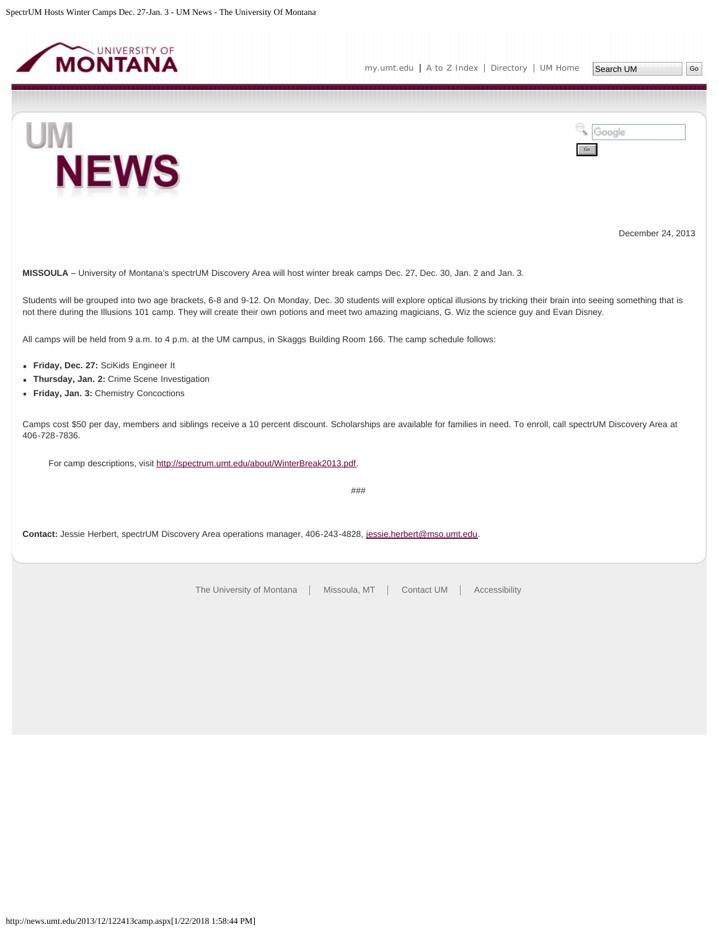<span id="page-7-0"></span>

**UM** 





December 24, 2013

**MISSOULA** – University of Montana's spectrUM Discovery Area will host winter break camps Dec. 27, Dec. 30, Jan. 2 and Jan. 3.

Students will be grouped into two age brackets, 6-8 and 9-12. On Monday, Dec. 30 students will explore optical illusions by tricking their brain into seeing something that is not there during the Illusions 101 camp. They will create their own potions and meet two amazing magicians, G. Wiz the science guy and Evan Disney.

All camps will be held from 9 a.m. to 4 p.m. at the UM campus, in Skaggs Building Room 166. The camp schedule follows:

- **Friday, Dec. 27:** SciKids Engineer It
- **Thursday, Jan. 2:** Crime Scene Investigation
- **Friday, Jan. 3:** Chemistry Concoctions

Camps cost \$50 per day, members and siblings receive a 10 percent discount. Scholarships are available for families in need. To enroll, call spectrUM Discovery Area at 406-728-7836.

For camp descriptions, visit<http://spectrum.umt.edu/about/WinterBreak2013.pdf>.

###

**Contact:** Jessie Herbert, spectrUM Discovery Area operations manager, 406-243-4828, [jessie.herbert@mso.umt.edu.](mailto:jessie.herbert@mso.umt.edu)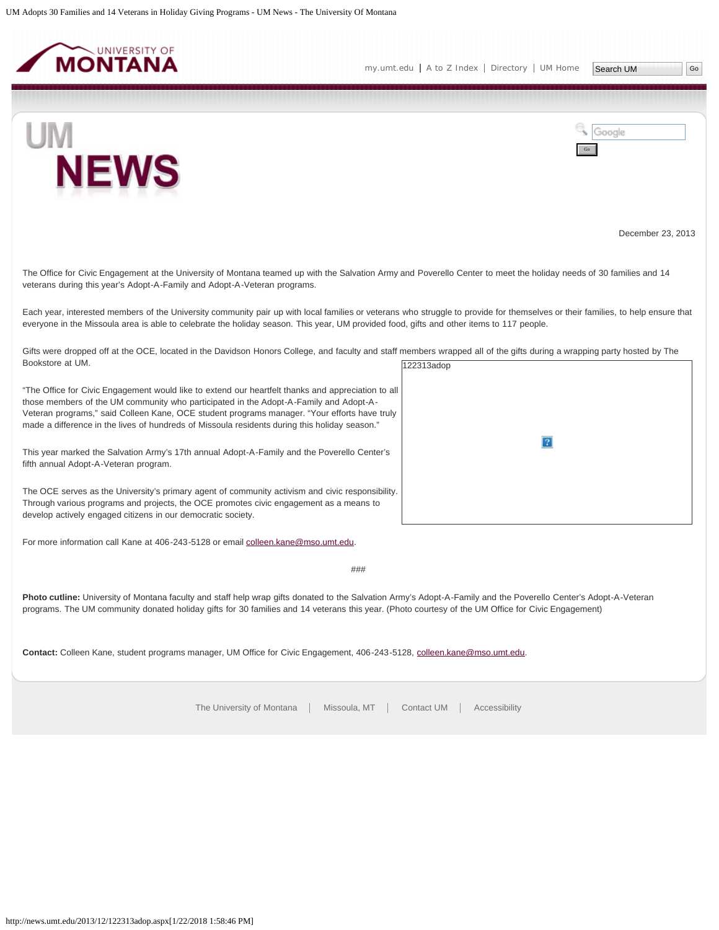<span id="page-8-0"></span>

UM





December 23, 2013

The Office for Civic Engagement at the University of Montana teamed up with the Salvation Army and Poverello Center to meet the holiday needs of 30 families and 14 veterans during this year's Adopt-A-Family and Adopt-A-Veteran programs.

Each year, interested members of the University community pair up with local families or veterans who struggle to provide for themselves or their families, to help ensure that everyone in the Missoula area is able to celebrate the holiday season. This year, UM provided food, gifts and other items to 117 people.

122313adop Gifts were dropped off at the OCE, located in the Davidson Honors College, and faculty and staff members wrapped all of the gifts during a wrapping party hosted by The Bookstore at UM.

|                                                                                                                                                                                                                                                                                                                                                                                              | <b>LLV</b> TUUTUP |
|----------------------------------------------------------------------------------------------------------------------------------------------------------------------------------------------------------------------------------------------------------------------------------------------------------------------------------------------------------------------------------------------|-------------------|
| "The Office for Civic Engagement would like to extend our heartfelt thanks and appreciation to all<br>those members of the UM community who participated in the Adopt-A-Family and Adopt-A-<br>Veteran programs," said Colleen Kane, OCE student programs manager. "Your efforts have truly<br>made a difference in the lives of hundreds of Missoula residents during this holiday season." |                   |
| This year marked the Salvation Army's 17th annual Adopt-A-Family and the Poverello Center's<br>fifth annual Adopt-A-Veteran program.                                                                                                                                                                                                                                                         |                   |
| The OCE serves as the University's primary agent of community activism and civic responsibility.<br>Through various programs and projects, the OCE promotes civic engagement as a means to<br>develop actively engaged citizens in our democratic society.                                                                                                                                   |                   |
| For more information call Kane at 406-243-5128 or email colleen.kane@mso.umt.edu.                                                                                                                                                                                                                                                                                                            |                   |

###

Photo cutline: University of Montana faculty and staff help wrap gifts donated to the Salvation Army's Adopt-A-Family and the Poverello Center's Adopt-A-Veteran programs. The UM community donated holiday gifts for 30 families and 14 veterans this year. (Photo courtesy of the UM Office for Civic Engagement)

**Contact:** Colleen Kane, student programs manager, UM Office for Civic Engagement, 406-243-5128, [colleen.kane@mso.umt.edu](mailto:colleen.kane@mso.umt.edu).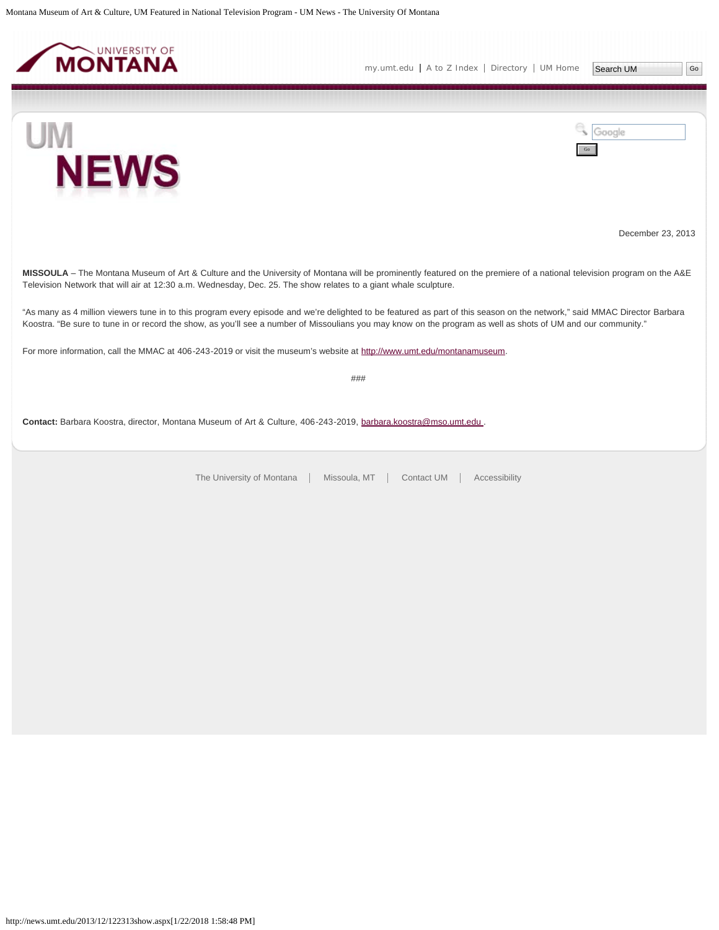<span id="page-9-0"></span>





December 23, 2013

**MISSOULA** – The Montana Museum of Art & Culture and the University of Montana will be prominently featured on the premiere of a national television program on the A&E Television Network that will air at 12:30 a.m. Wednesday, Dec. 25. The show relates to a giant whale sculpture.

"As many as 4 million viewers tune in to this program every episode and we're delighted to be featured as part of this season on the network," said MMAC Director Barbara Koostra. "Be sure to tune in or record the show, as you'll see a number of Missoulians you may know on the program as well as shots of UM and our community."

For more information, call the MMAC at 406-243-2019 or visit the museum's website at [http://www.umt.edu/montanamuseum.](http://www.umt.edu/montanamuseum)

###

**Contact:** Barbara Koostra, director, Montana Museum of Art & Culture, 406-243-2019, [barbara.koostra@mso.umt.edu .](mailto:barbara.koostra@mso.umt.edu)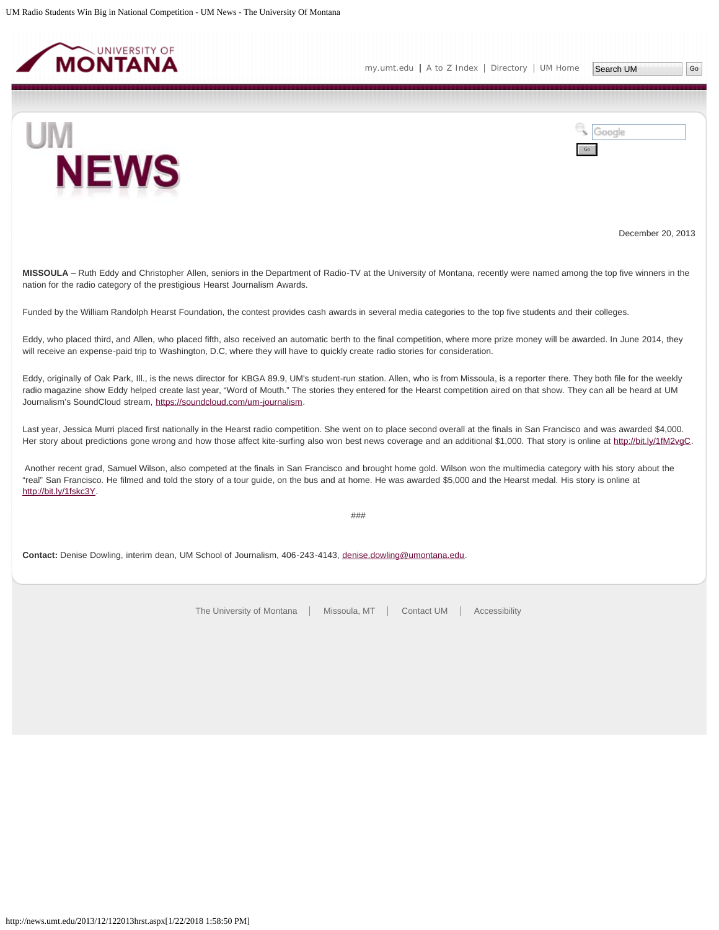<span id="page-10-0"></span>





December 20, 2013

**MISSOULA** – Ruth Eddy and Christopher Allen, seniors in the Department of Radio-TV at the University of Montana, recently were named among the top five winners in the nation for the radio category of the prestigious Hearst Journalism Awards.

Funded by the William Randolph Hearst Foundation, the contest provides cash awards in several media categories to the top five students and their colleges.

Eddy, who placed third, and Allen, who placed fifth, also received an automatic berth to the final competition, where more prize money will be awarded. In June 2014, they will receive an expense-paid trip to Washington, D.C, where they will have to quickly create radio stories for consideration.

Eddy, originally of Oak Park, Ill., is the news director for KBGA 89.9, UM's student-run station. Allen, who is from Missoula, is a reporter there. They both file for the weekly radio magazine show Eddy helped create last year, "Word of Mouth." The stories they entered for the Hearst competition aired on that show. They can all be heard at UM Journalism's SoundCloud stream, [https://soundcloud.com/um-journalism.](https://soundcloud.com/um-journalism)

Last year, Jessica Murri placed first nationally in the Hearst radio competition. She went on to place second overall at the finals in San Francisco and was awarded \$4,000. Her story about predictions gone wrong and how those affect kite-surfing also won best news coverage and an additional \$1,000. That story is online at [http://bit.ly/1fM2vgC.](http://bit.ly/1fM2vgC)

Another recent grad, Samuel Wilson, also competed at the finals in San Francisco and brought home gold. Wilson won the multimedia category with his story about the "real" San Francisco. He filmed and told the story of a tour guide, on the bus and at home. He was awarded \$5,000 and the Hearst medal. His story is online at <http://bit.ly/1fskc3Y>.

###

**Contact:** Denise Dowling, interim dean, UM School of Journalism, 406-243-4143, [denise.dowling@umontana.edu.](mailto:denise.dowling@umontana.edu)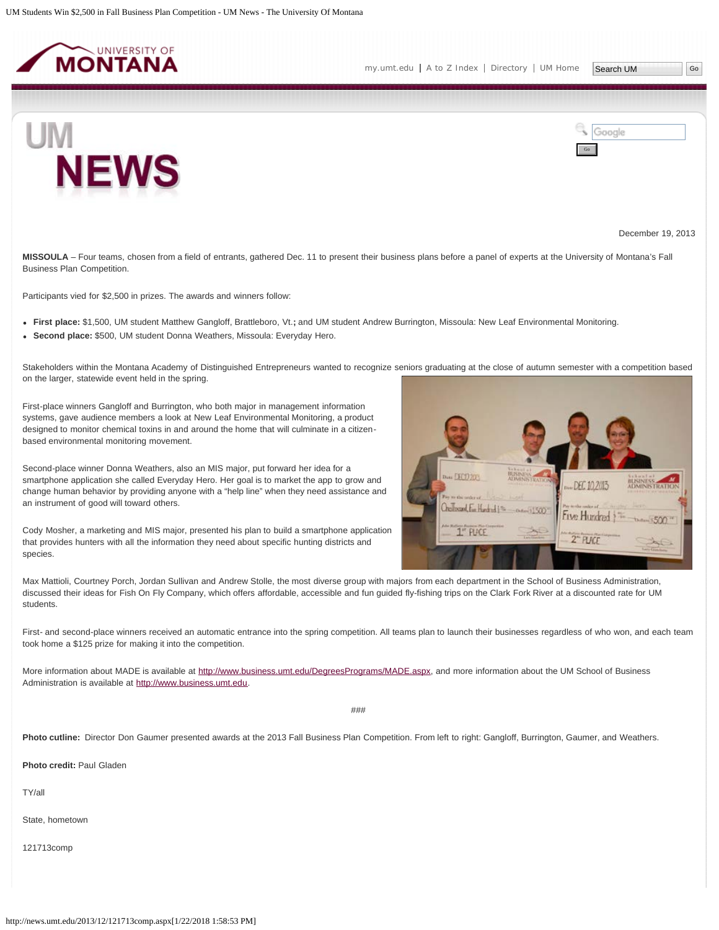<span id="page-11-0"></span>

Search UM



December 19, 2013

**MISSOULA** – Four teams, chosen from a field of entrants, gathered Dec. 11 to present their business plans before a panel of experts at the University of Montana's Fall Business Plan Competition.

Participants vied for \$2,500 in prizes. The awards and winners follow:

- **First place:** \$1,500, UM student Matthew Gangloff, Brattleboro, Vt.**;** and UM student Andrew Burrington, Missoula: New Leaf Environmental Monitoring.
- **Second place:** \$500, UM student Donna Weathers, Missoula: Everyday Hero.

Stakeholders within the Montana Academy of Distinguished Entrepreneurs wanted to recognize seniors graduating at the close of autumn semester with a competition based on the larger, statewide event held in the spring.

First-place winners Gangloff and Burrington, who both major in management information systems, gave audience members a look at New Leaf Environmental Monitoring, a product designed to monitor chemical toxins in and around the home that will culminate in a citizenbased environmental monitoring movement.

Second-place winner Donna Weathers, also an MIS major, put forward her idea for a smartphone application she called Everyday Hero. Her goal is to market the app to grow and change human behavior by providing anyone with a "help line" when they need assistance and an instrument of good will toward others.

Cody Mosher, a marketing and MIS major, presented his plan to build a smartphone application that provides hunters with all the information they need about specific hunting districts and species.



Max Mattioli, Courtney Porch, Jordan Sullivan and Andrew Stolle, the most diverse group with majors from each department in the School of Business Administration, discussed their ideas for Fish On Fly Company, which offers affordable, accessible and fun guided fly-fishing trips on the Clark Fork River at a discounted rate for UM students.

First- and second-place winners received an automatic entrance into the spring competition. All teams plan to launch their businesses regardless of who won, and each team took home a \$125 prize for making it into the competition.

More information about MADE is available at [http://www.business.umt.edu/DegreesPrograms/MADE.aspx,](http://www.business.umt.edu/DegreesPrograms/MADE.aspx) and more information about the UM School of Business Administration is available at [http://www.business.umt.edu.](http://www.business.umt.edu/)

###

**Photo cutline:** Director Don Gaumer presented awards at the 2013 Fall Business Plan Competition. From left to right: Gangloff, Burrington, Gaumer, and Weathers.

**Photo credit:** Paul Gladen

TY/all

State, hometown

121713comp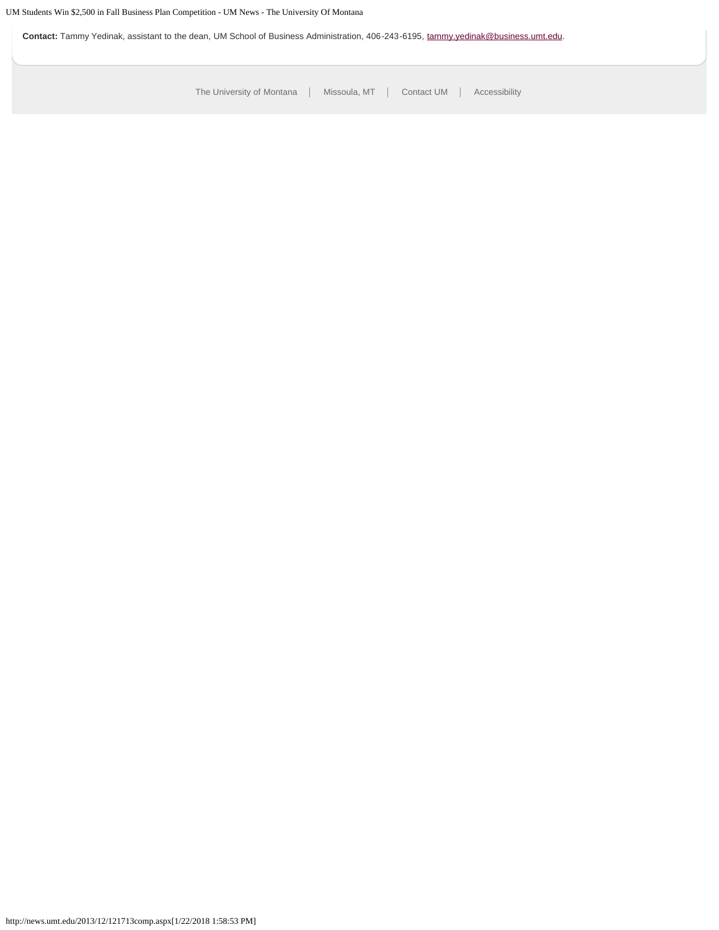**Contact:** Tammy Yedinak, assistant to the dean, UM School of Business Administration, 406-243-6195, [tammy.yedinak@business.umt.edu](mailto:tammy.yedinak@business.umt.edu).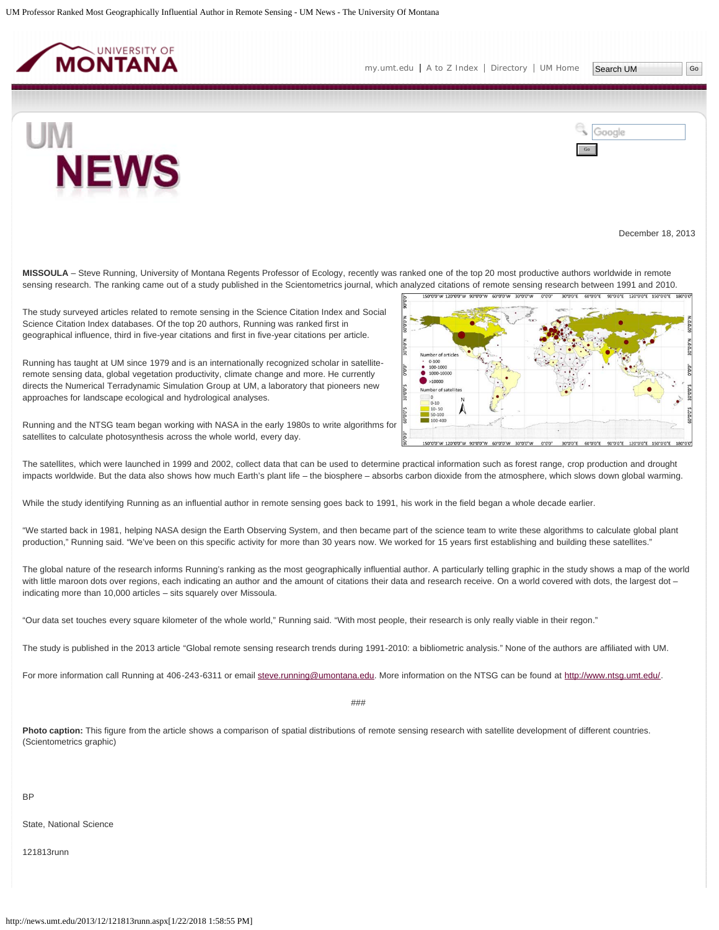<span id="page-13-0"></span>



December 18, 2013

**MISSOULA** – Steve Running, University of Montana Regents Professor of Ecology, recently was ranked one of the top 20 most productive authors worldwide in remote sensing research. The ranking came out of a study published in the Scientometrics journal, which analyzed citations of remote sensing research between 1991 and 2010.

The study surveyed articles related to remote sensing in the Science Citation Index and Social Science Citation Index databases. Of the top 20 authors, Running was ranked first in geographical influence, third in five-year citations and first in five-year citations per article.

Running has taught at UM since 1979 and is an internationally recognized scholar in satelliteremote sensing data, global vegetation productivity, climate change and more. He currently directs the Numerical Terradynamic Simulation Group at UM, a laboratory that pioneers new approaches for landscape ecological and hydrological analyses.



Running and the NTSG team began working with NASA in the early 1980s to write algorithms for satellites to calculate photosynthesis across the whole world, every day.

The satellites, which were launched in 1999 and 2002, collect data that can be used to determine practical information such as forest range, crop production and drought impacts worldwide. But the data also shows how much Earth's plant life – the biosphere – absorbs carbon dioxide from the atmosphere, which slows down global warming.

While the study identifying Running as an influential author in remote sensing goes back to 1991, his work in the field began a whole decade earlier.

"We started back in 1981, helping NASA design the Earth Observing System, and then became part of the science team to write these algorithms to calculate global plant production," Running said. "We've been on this specific activity for more than 30 years now. We worked for 15 years first establishing and building these satellites."

The global nature of the research informs Running's ranking as the most geographically influential author. A particularly telling graphic in the study shows a map of the world with little maroon dots over regions, each indicating an author and the amount of citations their data and research receive. On a world covered with dots, the largest dot indicating more than 10,000 articles – sits squarely over Missoula.

"Our data set touches every square kilometer of the whole world," Running said. "With most people, their research is only really viable in their regon."

The study is published in the 2013 article "Global remote sensing research trends during 1991-2010: a bibliometric analysis." None of the authors are affiliated with UM.

For more information call Running at 406-243-6311 or email [steve.running@umontana.edu.](mailto:steve.running@umontana.edu) More information on the NTSG can be found at [http://www.ntsg.umt.edu/.](http://www.ntsg.umt.edu/)

###

Photo caption: This figure from the article shows a comparison of spatial distributions of remote sensing research with satellite development of different countries. (Scientometrics graphic)

BP

State, National Science

121813runn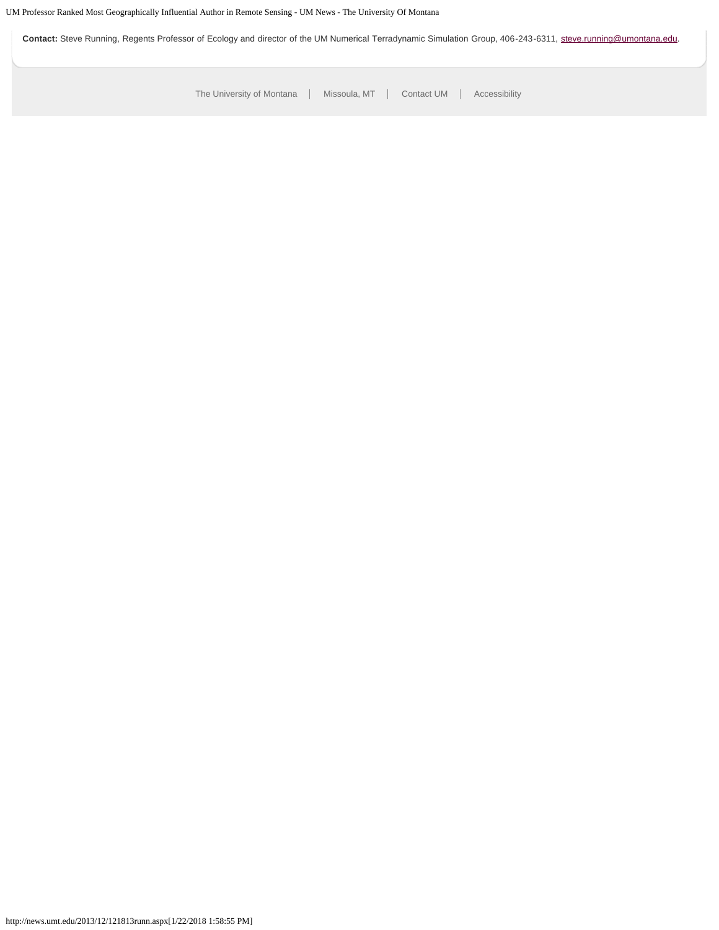Contact: Steve Running, Regents Professor of Ecology and director of the UM Numerical Terradynamic Simulation Group, 406-243-6311, [steve.running@umontana.edu](mailto:steve.running@umontana.edu).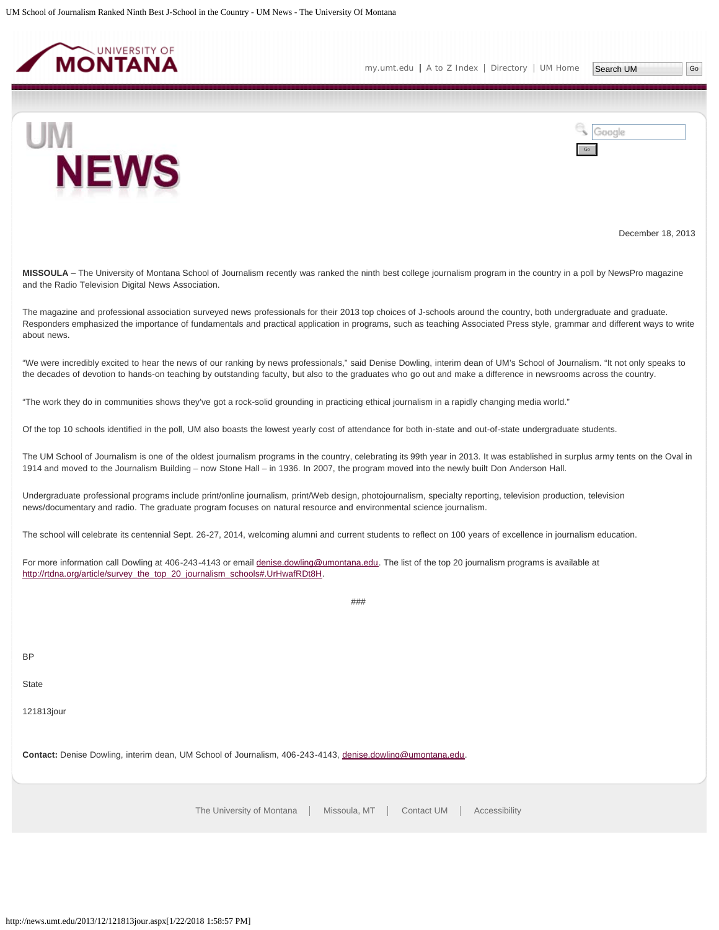<span id="page-15-0"></span>



December 18, 2013

**MISSOULA** – The University of Montana School of Journalism recently was ranked the ninth best college journalism program in the country in a poll by NewsPro magazine and the Radio Television Digital News Association.

The magazine and professional association surveyed news professionals for their 2013 top choices of J-schools around the country, both undergraduate and graduate. Responders emphasized the importance of fundamentals and practical application in programs, such as teaching Associated Press style, grammar and different ways to write about news.

"We were incredibly excited to hear the news of our ranking by news professionals," said Denise Dowling, interim dean of UM's School of Journalism. "It not only speaks to the decades of devotion to hands-on teaching by outstanding faculty, but also to the graduates who go out and make a difference in newsrooms across the country.

"The work they do in communities shows they've got a rock-solid grounding in practicing ethical journalism in a rapidly changing media world."

Of the top 10 schools identified in the poll, UM also boasts the lowest yearly cost of attendance for both in-state and out-of-state undergraduate students.

The UM School of Journalism is one of the oldest journalism programs in the country, celebrating its 99th year in 2013. It was established in surplus army tents on the Oval in 1914 and moved to the Journalism Building – now Stone Hall – in 1936. In 2007, the program moved into the newly built Don Anderson Hall.

Undergraduate professional programs include print/online journalism, print/Web design, photojournalism, specialty reporting, television production, television news/documentary and radio. The graduate program focuses on natural resource and environmental science journalism.

The school will celebrate its centennial Sept. 26-27, 2014, welcoming alumni and current students to reflect on 100 years of excellence in journalism education.

For more information call Dowling at 406-243-4143 or email [denise.dowling@umontana.edu](mailto:denise.dowling@umontana.edu). The list of the top 20 journalism programs is available at [http://rtdna.org/article/survey\\_the\\_top\\_20\\_journalism\\_schools#.UrHwafRDt8H](http://rtdna.org/article/survey_the_top_20_journalism_schools#.UrHwafRDt8H).

###

BP

**State** 

121813jour

**Contact:** Denise Dowling, interim dean, UM School of Journalism, 406-243-4143, [denise.dowling@umontana.edu.](mailto:denise.dowling@umontana.edu)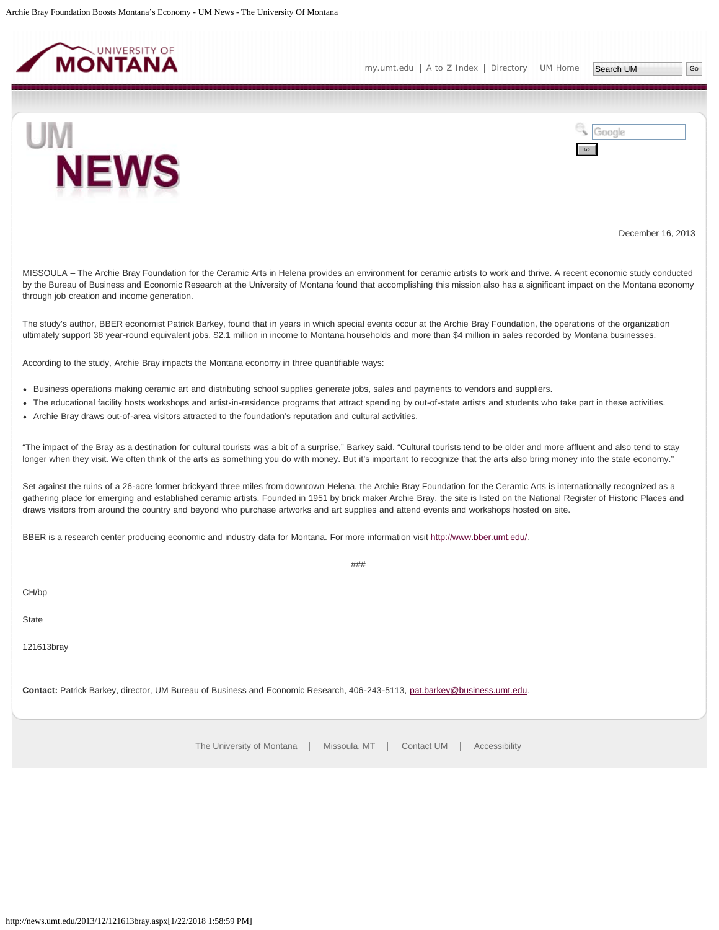<span id="page-16-0"></span>

UM



December 16, 2013

MISSOULA – The Archie Bray Foundation for the Ceramic Arts in Helena provides an environment for ceramic artists to work and thrive. A recent economic study conducted by the Bureau of Business and Economic Research at the University of Montana found that accomplishing this mission also has a significant impact on the Montana economy through job creation and income generation.

The study's author, BBER economist Patrick Barkey, found that in years in which special events occur at the Archie Bray Foundation, the operations of the organization ultimately support 38 year-round equivalent jobs, \$2.1 million in income to Montana households and more than \$4 million in sales recorded by Montana businesses.

According to the study, Archie Bray impacts the Montana economy in three quantifiable ways:

- Business operations making ceramic art and distributing school supplies generate jobs, sales and payments to vendors and suppliers.
- The educational facility hosts workshops and artist-in-residence programs that attract spending by out-of-state artists and students who take part in these activities.
- Archie Bray draws out-of-area visitors attracted to the foundation's reputation and cultural activities.

"The impact of the Bray as a destination for cultural tourists was a bit of a surprise," Barkey said. "Cultural tourists tend to be older and more affluent and also tend to stay longer when they visit. We often think of the arts as something you do with money. But it's important to recognize that the arts also bring money into the state economy."

Set against the ruins of a 26-acre former brickyard three miles from downtown Helena, the Archie Bray Foundation for the Ceramic Arts is internationally recognized as a gathering place for emerging and established ceramic artists. Founded in 1951 by brick maker Archie Bray, the site is listed on the National Register of Historic Places and draws visitors from around the country and beyond who purchase artworks and art supplies and attend events and workshops hosted on site.

###

BBER is a research center producing economic and industry data for Montana. For more information visit [http://www.bber.umt.edu/.](http://www.bber.umt.edu/)

CH/bp

**State** 

121613bray

**Contact:** Patrick Barkey, director, UM Bureau of Business and Economic Research, 406-243-5113, [pat.barkey@business.umt.edu](mailto:pat.barkey@business.umt.edu).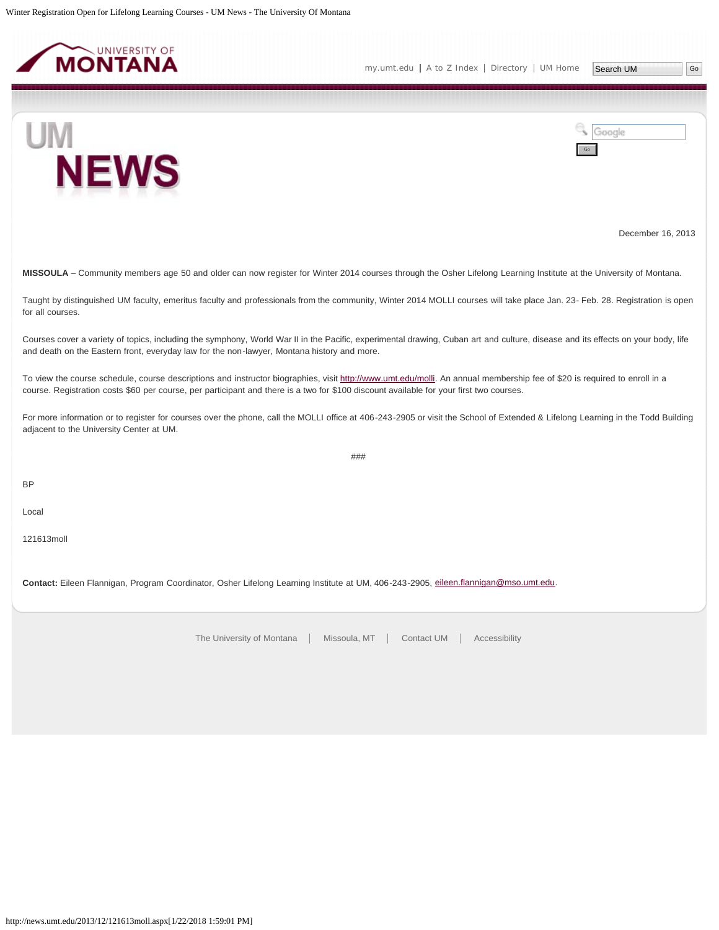<span id="page-17-0"></span>

UM



December 16, 2013

**MISSOULA** – Community members age 50 and older can now register for Winter 2014 courses through the Osher Lifelong Learning Institute at the University of Montana.

Taught by distinguished UM faculty, emeritus faculty and professionals from the community, Winter 2014 MOLLI courses will take place Jan. 23- Feb. 28. Registration is open for all courses.

Courses cover a variety of topics, including the symphony, World War II in the Pacific, experimental drawing, Cuban art and culture, disease and its effects on your body, life and death on the Eastern front, everyday law for the non-lawyer, Montana history and more.

To view the course schedule, course descriptions and instructor biographies, visit [http://www.umt.edu/molli.](http://www.umt.edu/molli) An annual membership fee of \$20 is required to enroll in a course. Registration costs \$60 per course, per participant and there is a two for \$100 discount available for your first two courses.

For more information or to register for courses over the phone, call the MOLLI office at 406-243-2905 or visit the School of Extended & Lifelong Learning in the Todd Building adjacent to the University Center at UM.

###

BP

Local

121613moll

**Contact:** Eileen Flannigan, Program Coordinator, Osher Lifelong Learning Institute at UM, 406-243-2905, [eileen.flannigan@mso.umt.edu.](mailto:eileen.flannigan@mso.umt.edu)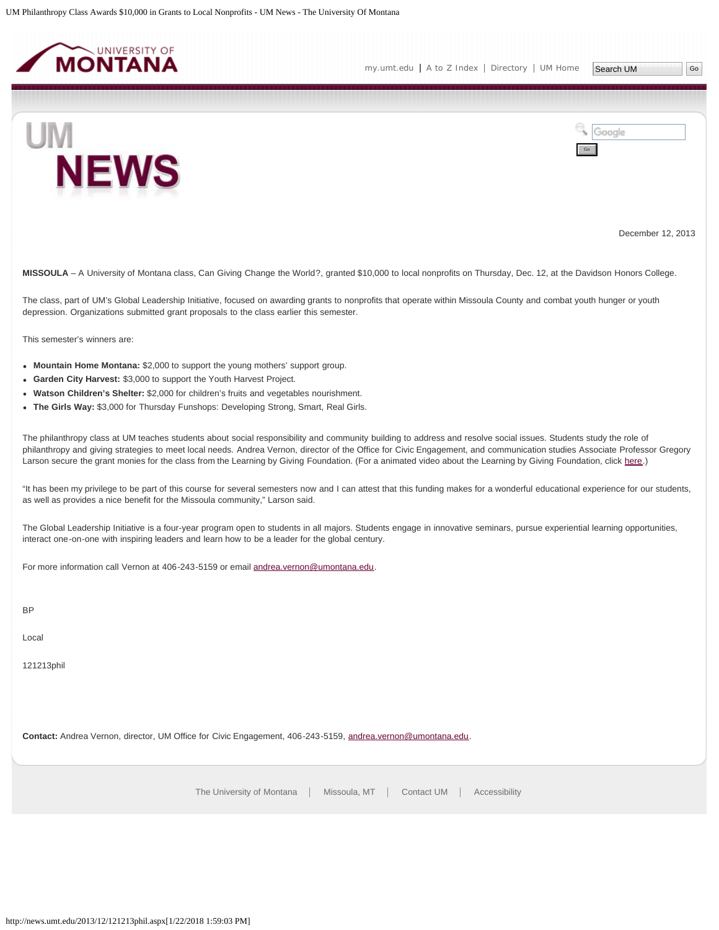<span id="page-18-0"></span>

Go

Google



December 12, 2013

**MISSOULA** – A University of Montana class, Can Giving Change the World?, granted \$10,000 to local nonprofits on Thursday, Dec. 12, at the Davidson Honors College.

The class, part of UM's Global Leadership Initiative, focused on awarding grants to nonprofits that operate within Missoula County and combat youth hunger or youth depression. Organizations submitted grant proposals to the class earlier this semester.

This semester's winners are:

- **Mountain Home Montana:** \$2,000 to support the young mothers' support group.
- **Garden City Harvest:** \$3,000 to support the Youth Harvest Project.
- **Watson Children's Shelter:** \$2,000 for children's fruits and vegetables nourishment.
- **The Girls Way:** \$3,000 for Thursday Funshops: Developing Strong, Smart, Real Girls.

The philanthropy class at UM teaches students about social responsibility and community building to address and resolve social issues. Students study the role of philanthropy and giving strategies to meet local needs. Andrea Vernon, director of the Office for Civic Engagement, and communication studies Associate Professor Gregory Larson secure the grant monies for the class from the Learning by Giving Foundation. (For a animated video about the Learning by Giving Foundation, click [here](http://www.learningbygivingfoundation.org/).)

"It has been my privilege to be part of this course for several semesters now and I can attest that this funding makes for a wonderful educational experience for our students, as well as provides a nice benefit for the Missoula community," Larson said.

The Global Leadership Initiative is a four-year program open to students in all majors. Students engage in innovative seminars, pursue experiential learning opportunities, interact one-on-one with inspiring leaders and learn how to be a leader for the global century.

For more information call Vernon at 406-243-5159 or email [andrea.vernon@umontana.edu.](mailto:andrea.vernon@umontana.edu)

BP

Local

121213phil

**Contact:** Andrea Vernon, director, UM Office for Civic Engagement, 406-243-5159, [andrea.vernon@umontana.edu.](mailto:andrea.vernon@umontana.edu)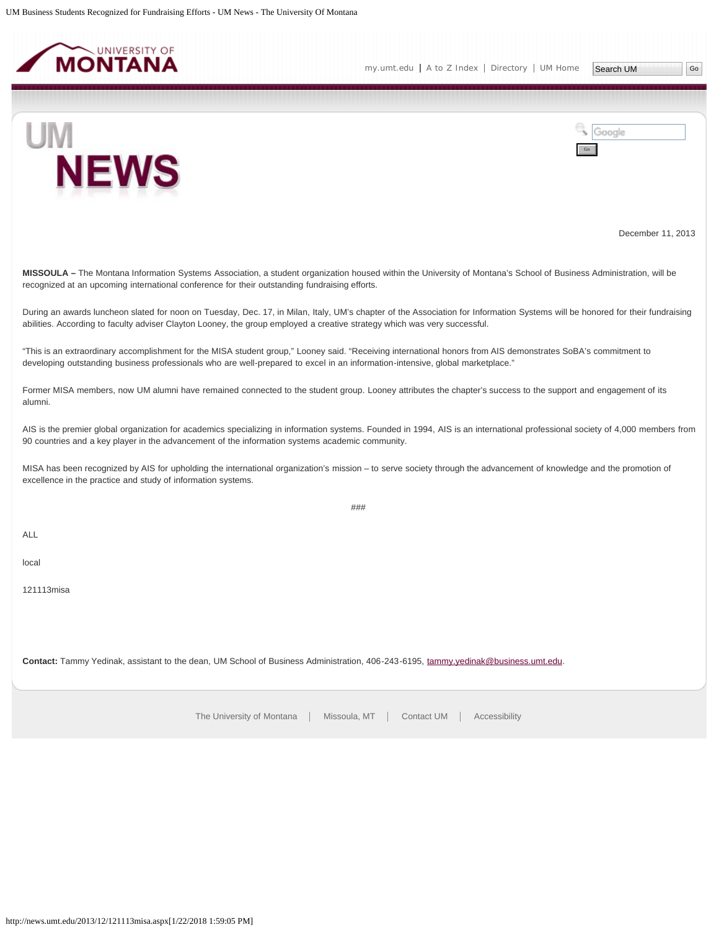<span id="page-19-0"></span>





December 11, 2013

**MISSOULA –** The Montana Information Systems Association, a student organization housed within the University of Montana's School of Business Administration, will be recognized at an upcoming international conference for their outstanding fundraising efforts.

During an awards luncheon slated for noon on Tuesday, Dec. 17, in Milan, Italy, UM's chapter of the Association for Information Systems will be honored for their fundraising abilities. According to faculty adviser Clayton Looney, the group employed a creative strategy which was very successful.

"This is an extraordinary accomplishment for the MISA student group," Looney said. "Receiving international honors from AIS demonstrates SoBA's commitment to developing outstanding business professionals who are well-prepared to excel in an information-intensive, global marketplace."

Former MISA members, now UM alumni have remained connected to the student group. Looney attributes the chapter's success to the support and engagement of its alumni.

AIS is the premier global organization for academics specializing in information systems. Founded in 1994, AIS is an international professional society of 4,000 members from 90 countries and a key player in the advancement of the information systems academic community.

MISA has been recognized by AIS for upholding the international organization's mission – to serve society through the advancement of knowledge and the promotion of excellence in the practice and study of information systems.

###

ALL

local

121113misa

**Contact:** Tammy Yedinak, assistant to the dean, UM School of Business Administration, 406-243-6195, [tammy.yedinak@business.umt.edu](mailto:tammy.yedinak@business.umt.edu).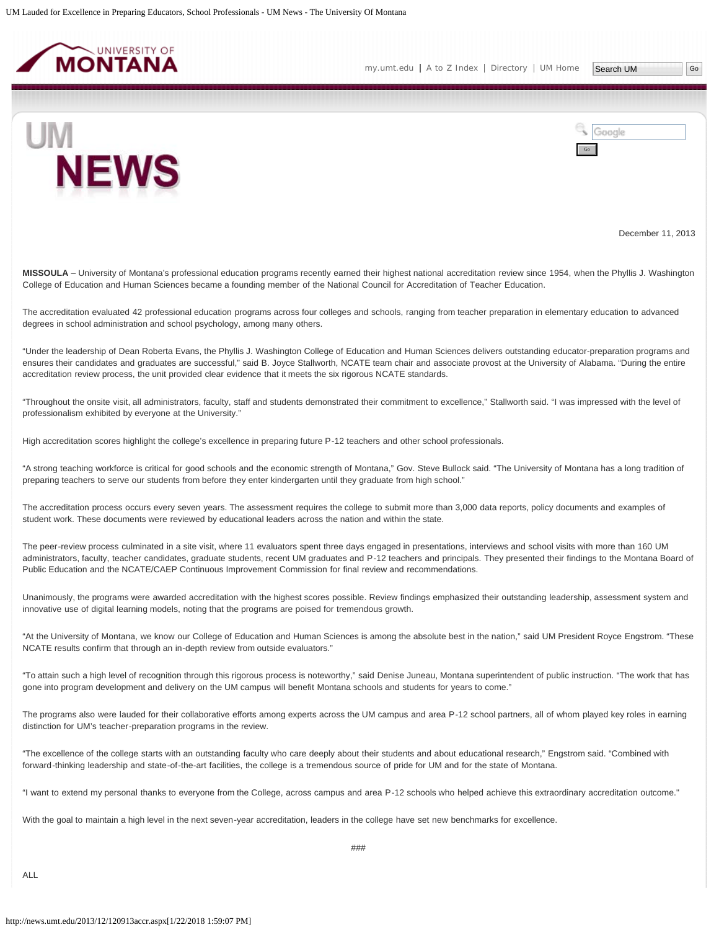<span id="page-20-0"></span>

Go

Google



December 11, 2013

**MISSOULA** – University of Montana's professional education programs recently earned their highest national accreditation review since 1954, when the Phyllis J. Washington College of Education and Human Sciences became a founding member of the National Council for Accreditation of Teacher Education.

The accreditation evaluated 42 professional education programs across four colleges and schools, ranging from teacher preparation in elementary education to advanced degrees in school administration and school psychology, among many others.

"Under the leadership of Dean Roberta Evans, the Phyllis J. Washington College of Education and Human Sciences delivers outstanding educator-preparation programs and ensures their candidates and graduates are successful," said B. Joyce Stallworth, NCATE team chair and associate provost at the University of Alabama. "During the entire accreditation review process, the unit provided clear evidence that it meets the six rigorous NCATE standards.

"Throughout the onsite visit, all administrators, faculty, staff and students demonstrated their commitment to excellence," Stallworth said. "I was impressed with the level of professionalism exhibited by everyone at the University."

High accreditation scores highlight the college's excellence in preparing future P-12 teachers and other school professionals.

"A strong teaching workforce is critical for good schools and the economic strength of Montana," Gov. Steve Bullock said. "The University of Montana has a long tradition of preparing teachers to serve our students from before they enter kindergarten until they graduate from high school."

The accreditation process occurs every seven years. The assessment requires the college to submit more than 3,000 data reports, policy documents and examples of student work. These documents were reviewed by educational leaders across the nation and within the state.

The peer-review process culminated in a site visit, where 11 evaluators spent three days engaged in presentations, interviews and school visits with more than 160 UM administrators, faculty, teacher candidates, graduate students, recent UM graduates and P-12 teachers and principals. They presented their findings to the Montana Board of Public Education and the NCATE/CAEP Continuous Improvement Commission for final review and recommendations.

Unanimously, the programs were awarded accreditation with the highest scores possible. Review findings emphasized their outstanding leadership, assessment system and innovative use of digital learning models, noting that the programs are poised for tremendous growth.

"At the University of Montana, we know our College of Education and Human Sciences is among the absolute best in the nation," said UM President Royce Engstrom. "These NCATE results confirm that through an in-depth review from outside evaluators."

"To attain such a high level of recognition through this rigorous process is noteworthy," said Denise Juneau, Montana superintendent of public instruction. "The work that has gone into program development and delivery on the UM campus will benefit Montana schools and students for years to come."

The programs also were lauded for their collaborative efforts among experts across the UM campus and area P-12 school partners, all of whom played key roles in earning distinction for UM's teacher-preparation programs in the review.

"The excellence of the college starts with an outstanding faculty who care deeply about their students and about educational research," Engstrom said. "Combined with forward-thinking leadership and state-of-the-art facilities, the college is a tremendous source of pride for UM and for the state of Montana.

"I want to extend my personal thanks to everyone from the College, across campus and area P-12 schools who helped achieve this extraordinary accreditation outcome."

With the goal to maintain a high level in the next seven-year accreditation, leaders in the college have set new benchmarks for excellence.

ALL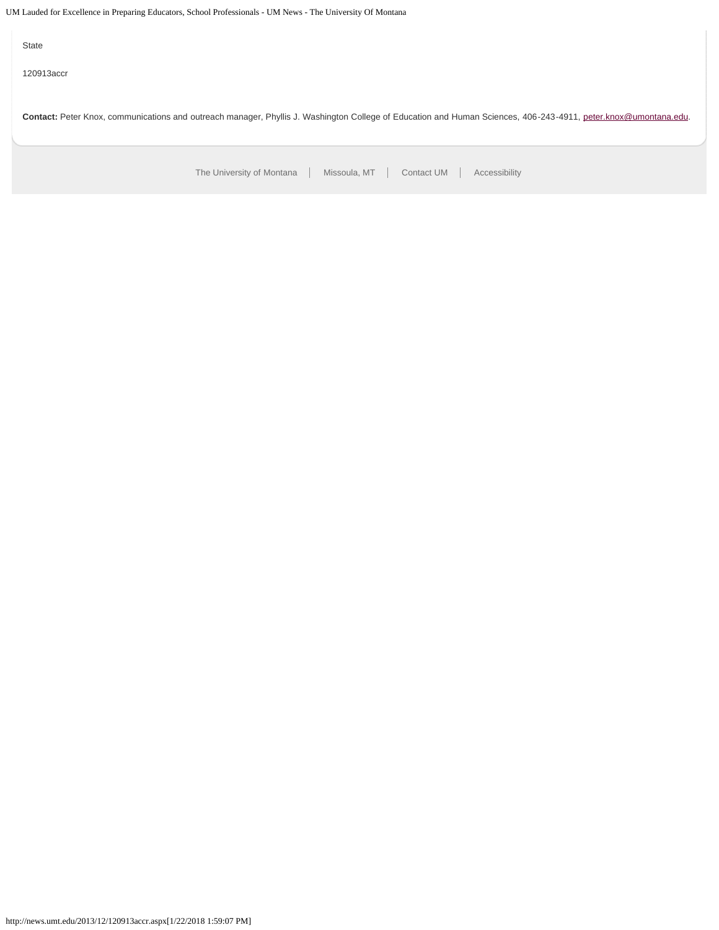State

120913accr

Contact: Peter Knox, communications and outreach manager, Phyllis J. Washington College of Education and Human Sciences, 406-243-4911, [peter.knox@umontana.edu](mailto:peter.knox@umontana.edu).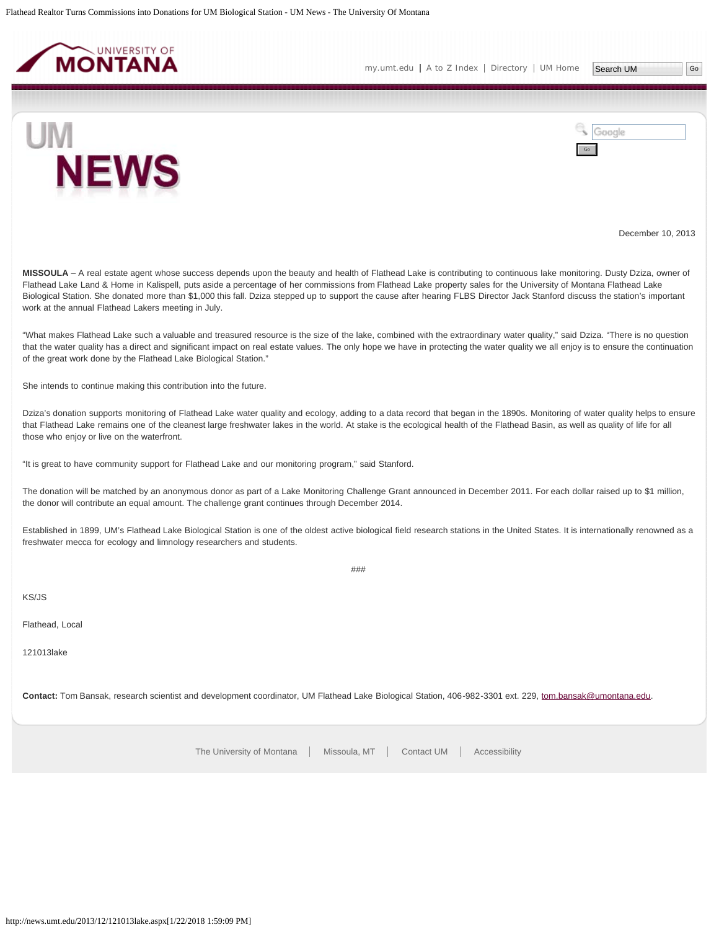<span id="page-22-0"></span>

Google



Go

December 10, 2013

**MISSOULA** – A real estate agent whose success depends upon the beauty and health of Flathead Lake is contributing to continuous lake monitoring. Dusty Dziza, owner of Flathead Lake Land & Home in Kalispell, puts aside a percentage of her commissions from Flathead Lake property sales for the University of Montana Flathead Lake Biological Station. She donated more than \$1,000 this fall. Dziza stepped up to support the cause after hearing FLBS Director Jack Stanford discuss the station's important work at the annual Flathead Lakers meeting in July.

"What makes Flathead Lake such a valuable and treasured resource is the size of the lake, combined with the extraordinary water quality," said Dziza. "There is no question that the water quality has a direct and significant impact on real estate values. The only hope we have in protecting the water quality we all enjoy is to ensure the continuation of the great work done by the Flathead Lake Biological Station."

She intends to continue making this contribution into the future.

Dziza's donation supports monitoring of Flathead Lake water quality and ecology, adding to a data record that began in the 1890s. Monitoring of water quality helps to ensure that Flathead Lake remains one of the cleanest large freshwater lakes in the world. At stake is the ecological health of the Flathead Basin, as well as quality of life for all those who enjoy or live on the waterfront.

"It is great to have community support for Flathead Lake and our monitoring program," said Stanford.

The donation will be matched by an anonymous donor as part of a Lake Monitoring Challenge Grant announced in December 2011. For each dollar raised up to \$1 million, the donor will contribute an equal amount. The challenge grant continues through December 2014.

Established in 1899, UM's Flathead Lake Biological Station is one of the oldest active biological field research stations in the United States. It is internationally renowned as a freshwater mecca for ecology and limnology researchers and students.

###

KS/JS

Flathead, Local

121013lake

**Contact:** Tom Bansak, research scientist and development coordinator, UM Flathead Lake Biological Station, 406-982-3301 ext. 229, [tom.bansak@umontana.edu](mailto:tom.bansak@umontana.edu).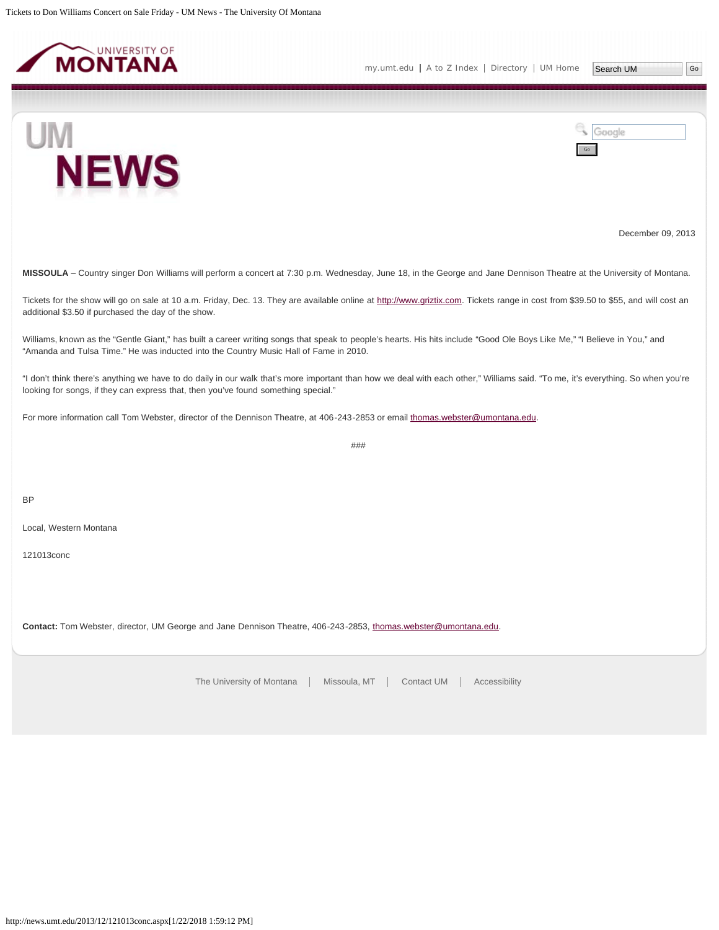<span id="page-23-0"></span>

UM



December 09, 2013

**MISSOULA** – Country singer Don Williams will perform a concert at 7:30 p.m. Wednesday, June 18, in the George and Jane Dennison Theatre at the University of Montana.

Tickets for the show will go on sale at 10 a.m. Friday, Dec. 13. They are available online at [http://www.griztix.com](http://www.griztix.com/). Tickets range in cost from \$39.50 to \$55, and will cost an additional \$3.50 if purchased the day of the show.

Williams, known as the "Gentle Giant," has built a career writing songs that speak to people's hearts. His hits include "Good Ole Boys Like Me," "I Believe in You," and "Amanda and Tulsa Time." He was inducted into the Country Music Hall of Fame in 2010.

"I don't think there's anything we have to do daily in our walk that's more important than how we deal with each other," Williams said. "To me, it's everything. So when you're looking for songs, if they can express that, then you've found something special."

For more information call Tom Webster, director of the Dennison Theatre, at 406-243-2853 or email [thomas.webster@umontana.edu.](mailto:thomas.webster@umontana.edu)

###

BP

Local, Western Montana

121013conc

**Contact:** Tom Webster, director, UM George and Jane Dennison Theatre, 406-243-2853, [thomas.webster@umontana.edu.](mailto:thomas.webster@umontana.edu)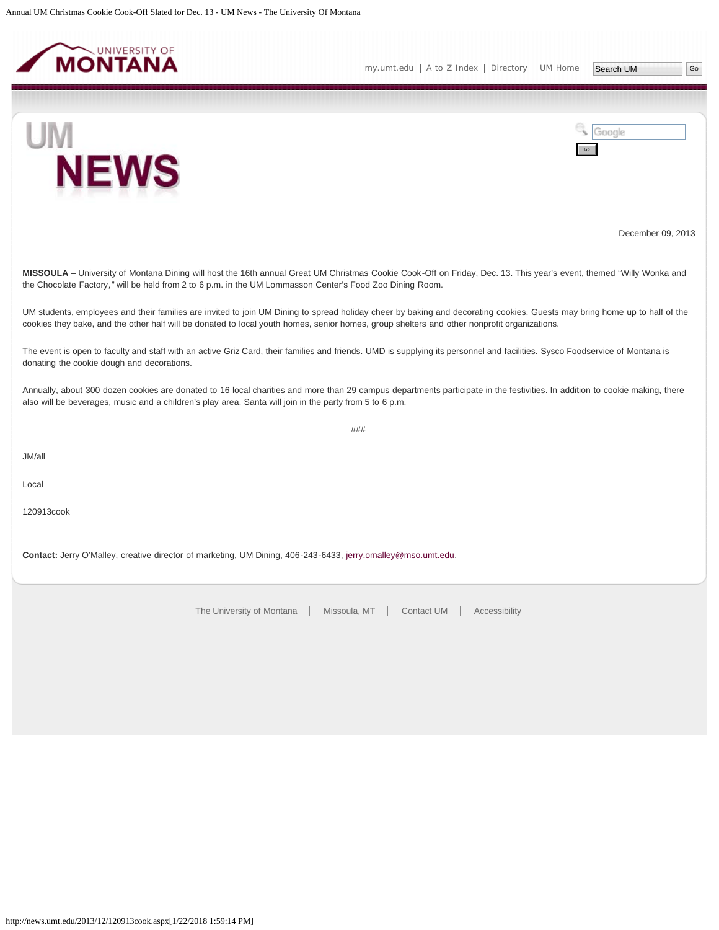<span id="page-24-0"></span>







December 09, 2013

**MISSOULA** – University of Montana Dining will host the 16th annual Great UM Christmas Cookie Cook-Off on Friday, Dec. 13. This year's event, themed "Willy Wonka and the Chocolate Factory*,*" will be held from 2 to 6 p.m. in the UM Lommasson Center's Food Zoo Dining Room.

UM students, employees and their families are invited to join UM Dining to spread holiday cheer by baking and decorating cookies. Guests may bring home up to half of the cookies they bake, and the other half will be donated to local youth homes, senior homes, group shelters and other nonprofit organizations.

The event is open to faculty and staff with an active Griz Card, their families and friends. UMD is supplying its personnel and facilities. Sysco Foodservice of Montana is donating the cookie dough and decorations.

Annually, about 300 dozen cookies are donated to 16 local charities and more than 29 campus departments participate in the festivities. In addition to cookie making, there also will be beverages, music and a children's play area. Santa will join in the party from 5 to 6 p.m.

###

JM/all

Local

120913cook

**Contact:** Jerry O'Malley, creative director of marketing, UM Dining, 406-243-6433, [jerry.omalley@mso.umt.edu](mailto:jerry.omalley@mso.umt.edu).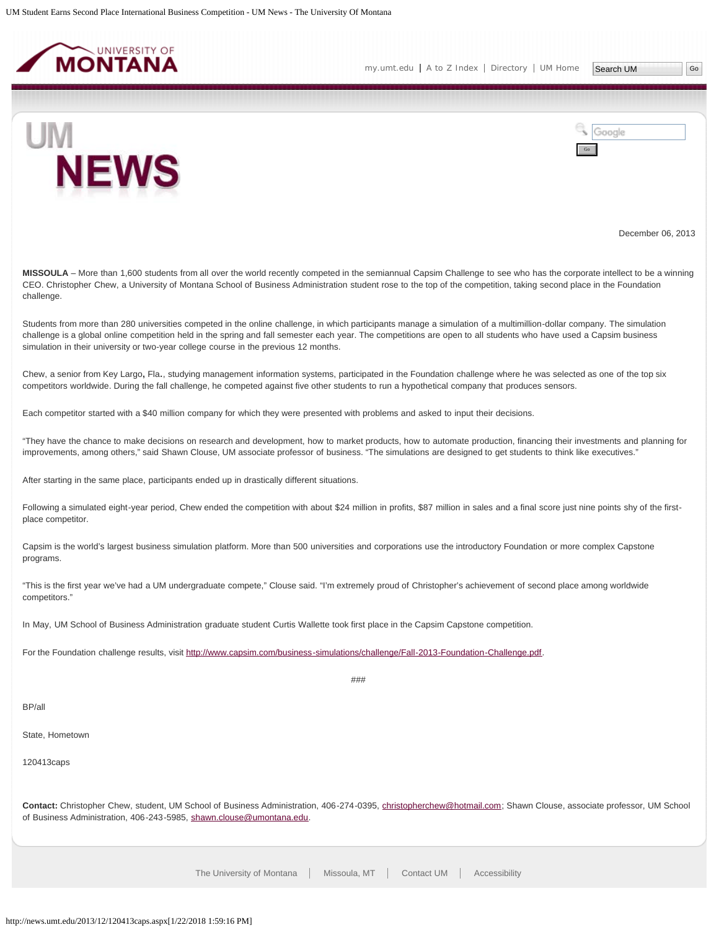<span id="page-25-0"></span>



December 06, 2013

**MISSOULA** – More than 1,600 students from all over the world recently competed in the semiannual Capsim Challenge to see who has the corporate intellect to be a winning CEO. Christopher Chew, a University of Montana School of Business Administration student rose to the top of the competition, taking second place in the Foundation challenge.

Students from more than 280 universities competed in the online challenge, in which participants manage a simulation of a multimillion-dollar company. The simulation challenge is a global online competition held in the spring and fall semester each year. The competitions are open to all students who have used a Capsim business simulation in their university or two-year college course in the previous 12 months.

Chew, a senior from Key Largo**,** Fla**.**, studying management information systems, participated in the Foundation challenge where he was selected as one of the top six competitors worldwide. During the fall challenge, he competed against five other students to run a hypothetical company that produces sensors.

Each competitor started with a \$40 million company for which they were presented with problems and asked to input their decisions.

"They have the chance to make decisions on research and development, how to market products, how to automate production, financing their investments and planning for improvements, among others," said Shawn Clouse, UM associate professor of business. "The simulations are designed to get students to think like executives."

After starting in the same place, participants ended up in drastically different situations.

Following a simulated eight-year period, Chew ended the competition with about \$24 million in profits, \$87 million in sales and a final score just nine points shy of the firstplace competitor.

Capsim is the world's largest business simulation platform. More than 500 universities and corporations use the introductory Foundation or more complex Capstone programs.

"This is the first year we've had a UM undergraduate compete," Clouse said. "I'm extremely proud of Christopher's achievement of second place among worldwide competitors."

In May, UM School of Business Administration graduate student Curtis Wallette took first place in the Capsim Capstone competition.

For the Foundation challenge results, visit [http://www.capsim.com/business-simulations/challenge/Fall-2013-Foundation-Challenge.pdf.](http://www.capsim.com/business-simulations/challenge/Fall-2013-Foundation-Challenge.pdf)

###

BP/all

State, Hometown

120413caps

**Contact:** Christopher Chew, student, UM School of Business Administration, 406-274-0395, [christopherchew@hotmail.com;](mailto:christopherchew@hotmail.com) Shawn Clouse, associate professor, UM School of Business Administration, 406-243-5985, [shawn.clouse@umontana.edu.](mailto:shawn.clouse@umontana.edu)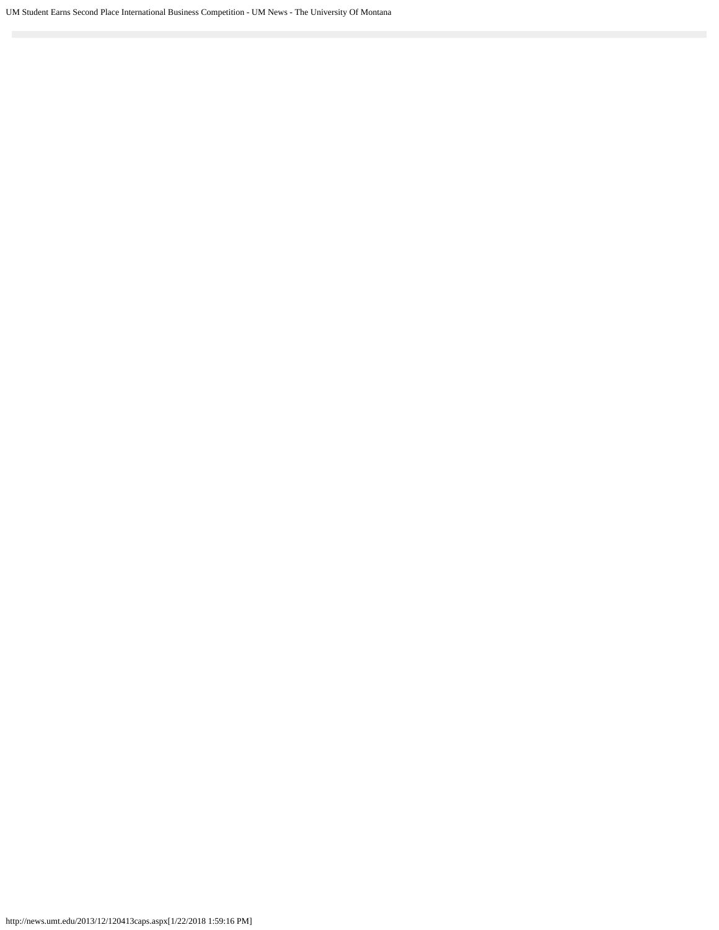UM Student Earns Second Place International Business Competition - UM News - The University Of Montana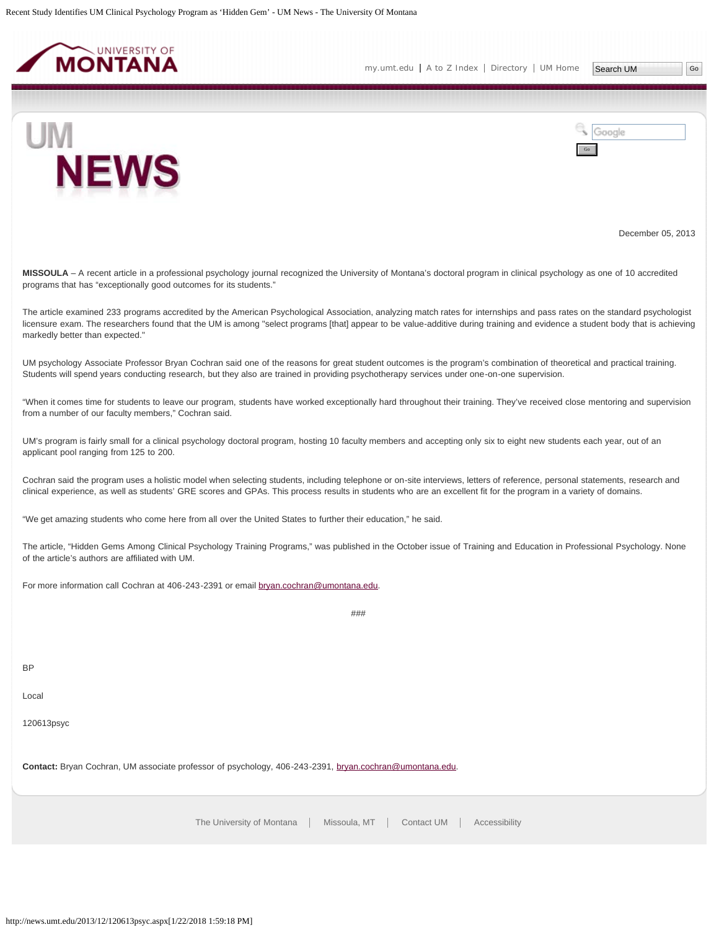<span id="page-27-0"></span>

[my.umt.edu](http://my.umt.edu/) | [A to Z Index](http://www.umt.edu/search/atoz/) | [Directory](http://www.umt.edu/directory/) | [UM Home](http://www.umt.edu/)

Search UM

Google



Go

December 05, 2013

**MISSOULA** – A recent article in a professional psychology journal recognized the University of Montana's doctoral program in clinical psychology as one of 10 accredited programs that has "exceptionally good outcomes for its students."

The article examined 233 programs accredited by the American Psychological Association, analyzing match rates for internships and pass rates on the standard psychologist licensure exam. The researchers found that the UM is among "select programs [that] appear to be value-additive during training and evidence a student body that is achieving markedly better than expected."

UM psychology Associate Professor Bryan Cochran said one of the reasons for great student outcomes is the program's combination of theoretical and practical training. Students will spend years conducting research, but they also are trained in providing psychotherapy services under one-on-one supervision.

"When it comes time for students to leave our program, students have worked exceptionally hard throughout their training. They've received close mentoring and supervision from a number of our faculty members," Cochran said.

UM's program is fairly small for a clinical psychology doctoral program, hosting 10 faculty members and accepting only six to eight new students each year, out of an applicant pool ranging from 125 to 200.

Cochran said the program uses a holistic model when selecting students, including telephone or on-site interviews, letters of reference, personal statements, research and clinical experience, as well as students' GRE scores and GPAs. This process results in students who are an excellent fit for the program in a variety of domains.

"We get amazing students who come here from all over the United States to further their education," he said.

The article, "Hidden Gems Among Clinical Psychology Training Programs," was published in the October issue of Training and Education in Professional Psychology. None of the article's authors are affiliated with UM.

For more information call Cochran at 406-243-2391 or email [bryan.cochran@umontana.edu.](mailto:bryan.cochran@umontana.edu)

**BP** 

Local

120613psyc

**Contact:** Bryan Cochran, UM associate professor of psychology, 406-243-2391, [bryan.cochran@umontana.edu.](mailto:bryan.cochran@umontana.edu)

[The University of Montana](http://www.umt.edu/) | Missoula, MT | [Contact UM](http://www.umt.edu/comments) | [Accessibility](http://www.umt.edu/home/accessibility)

###